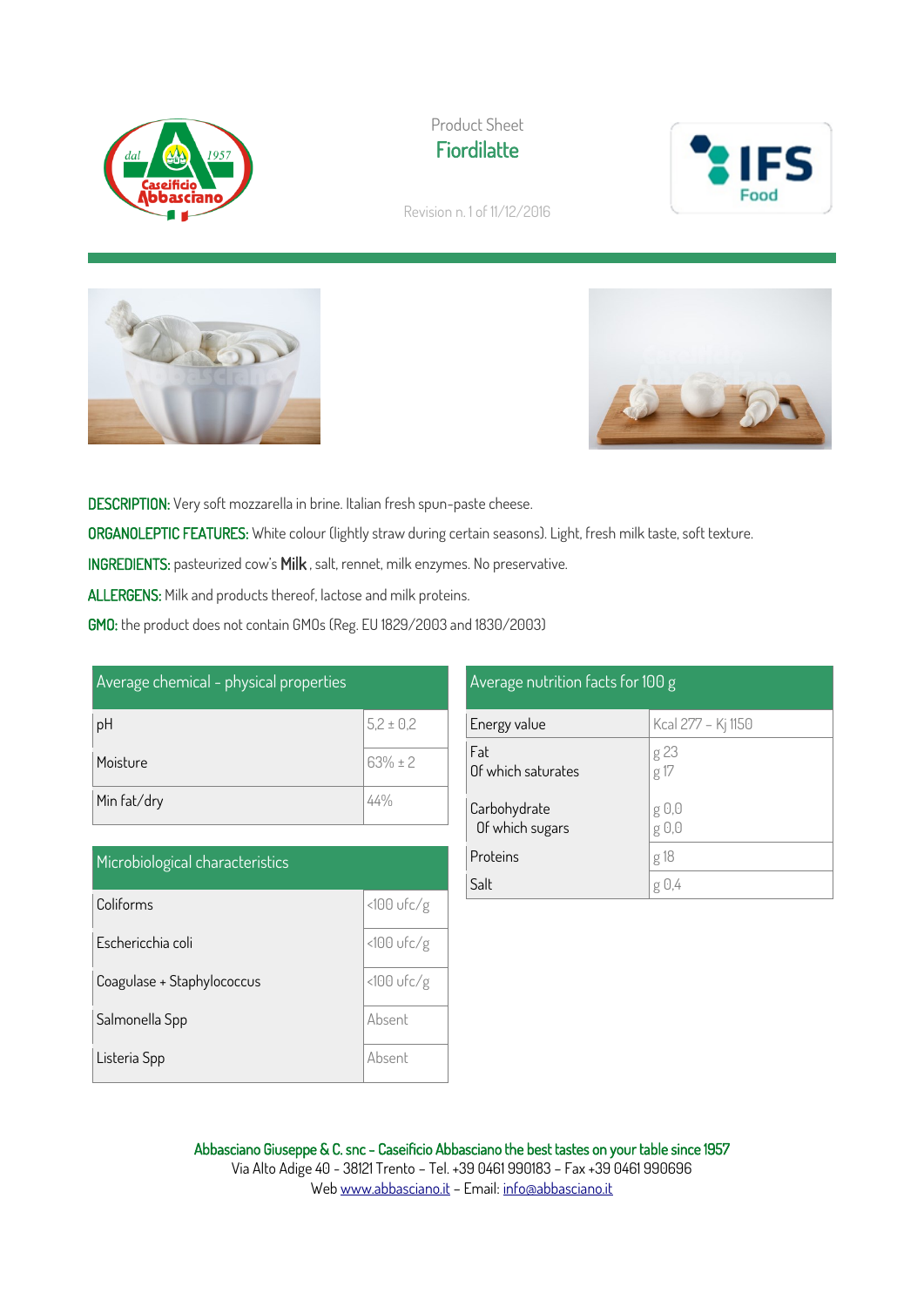





Revision n. 1 of 11/12/2016





DESCRIPTION: Very soft mozzarella in brine. Italian fresh spun-paste cheese. ORGANOLEPTIC FEATURES: White colour (lightly straw during certain seasons). Light, fresh milk taste, soft texture. INGREDIENTS: pasteurized cow's Milk , salt, rennet, milk enzymes. No preservative. ALLERGENS: Milk and products thereof, lactose and milk proteins. GMO: the product does not contain GMOs (Reg. EU 1829/2003 and 1830/2003)

| Average chemical - physical properties |               |  |
|----------------------------------------|---------------|--|
| рH                                     | $5,2 \pm 0,2$ |  |
| Moisture                               | $63% \pm 2$   |  |
| Min fat/dry                            | 44%           |  |

| Microbiological characteristics |              |
|---------------------------------|--------------|
| Coliforms                       | $<100$ ufc/g |
| Eschericchia coli               | $<100$ ufc/g |
| Coagulase + Staphylococcus      | $<100$ ufc/g |
| Salmonella Spp                  | Absent       |
| Listeria Spp                    | Ahsent       |

| Average nutrition facts f <u>or 100 g</u> |                    |  |
|-------------------------------------------|--------------------|--|
| Energy value                              | Kcal 277 - Kj 1150 |  |
| Fat<br>Of which saturates                 | g 23<br>g 17       |  |
| Carbohydrate<br>Of which sugars           | g U,U<br>g 0,0     |  |
| Proteins                                  | g 18               |  |
| Salt                                      | g 0,4              |  |